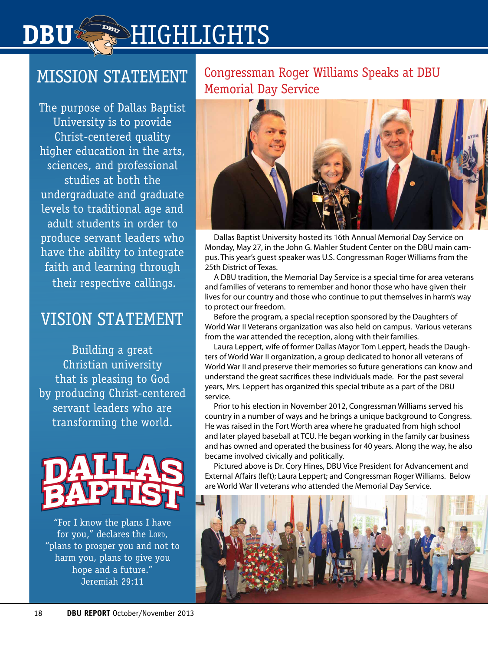# **DBUGHLIGHTS**

## MISSION STATEMENT

The purpose of Dallas Baptist University is to provide Christ-centered quality higher education in the arts, sciences, and professional studies at both the undergraduate and graduate levels to traditional age and adult students in order to produce servant leaders who have the ability to integrate faith and learning through their respective callings.

### VISION STATEMENT

Building a great Christian university that is pleasing to God by producing Christ-centered servant leaders who are transforming the world.



"For I know the plans I have for you," declares the LORD, "plans to prosper you and not to harm you, plans to give you hope and a future." Jeremiah 29:11

#### Congressman Roger Williams Speaks at DBU Memorial Day Service



Dallas Baptist University hosted its 16th Annual Memorial Day Service on Monday, May 27, in the John G. Mahler Student Center on the DBU main campus. This year's guest speaker was U.S. Congressman Roger Williams from the 25th District of Texas.

A DBU tradition, the Memorial Day Service is a special time for area veterans and families of veterans to remember and honor those who have given their lives for our country and those who continue to put themselves in harm's way to protect our freedom.

Before the program, a special reception sponsored by the Daughters of World War II Veterans organization was also held on campus. Various veterans from the war attended the reception, along with their families.

Laura Leppert, wife of former Dallas Mayor Tom Leppert, heads the Daughters of World War II organization, a group dedicated to honor all veterans of World War II and preserve their memories so future generations can know and understand the great sacrifices these individuals made. For the past several years, Mrs. Leppert has organized this special tribute as a part of the DBU service.

Prior to his election in November 2012, Congressman Williams served his country in a number of ways and he brings a unique background to Congress. He was raised in the Fort Worth area where he graduated from high school and later played baseball at TCU. He began working in the family car business and has owned and operated the business for 40 years. Along the way, he also became involved civically and politically.

Pictured above is Dr. Cory Hines, DBU Vice President for Advancement and External Affairs (left); Laura Leppert; and Congressman Roger Williams. Below are World War II veterans who attended the Memorial Day Service.